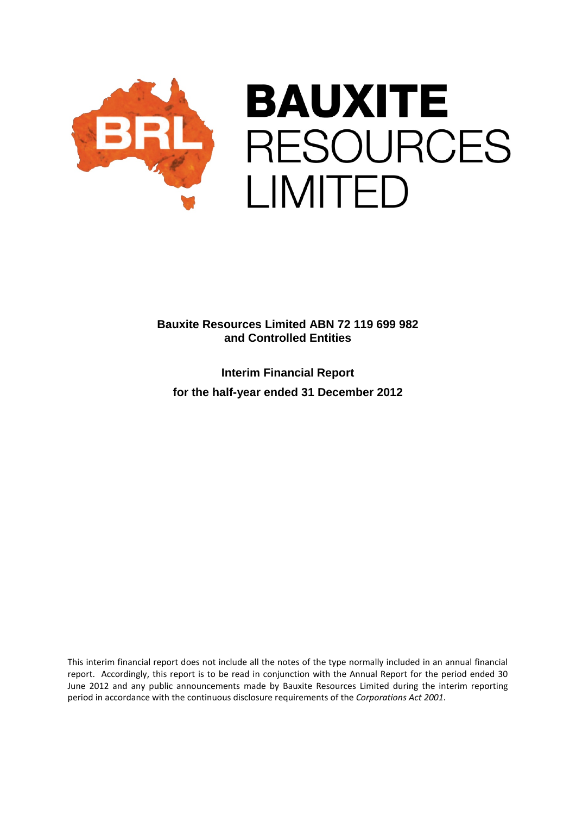

**Interim Financial Report for the half-year ended 31 December 2012**

This interim financial report does not include all the notes of the type normally included in an annual financial report. Accordingly, this report is to be read in conjunction with the Annual Report for the period ended 30 June 2012 and any public announcements made by Bauxite Resources Limited during the interim reporting period in accordance with the continuous disclosure requirements of the *Corporations Act 2001*.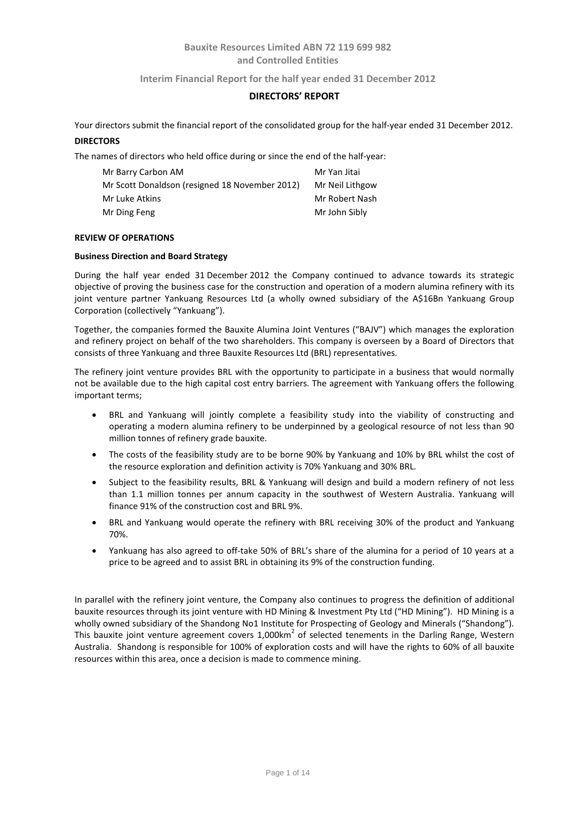### **Interim Financial Report for the half year ended 31 December 2012**

### **DIRECTORS' REPORT**

Your directors submit the financial report of the consolidated group for the half-year ended 31 December 2012. **DIRECTORS**

The names of directors who held office during or since the end of the half-year:

| Mr Barry Carbon AM                             | Mr Yan Jitai    |
|------------------------------------------------|-----------------|
| Mr Scott Donaldson (resigned 18 November 2012) | Mr Neil Lithgow |
| Mr Luke Atkins                                 | Mr Robert Nash  |
| Mr Ding Feng                                   | Mr John Sibly   |

### **REVIEW OF OPERATIONS**

### **Business Direction and Board Strategy**

During the half year ended 31 December 2012 the Company continued to advance towards its strategic objective of proving the business case for the construction and operation of a modern alumina refinery with its joint venture partner Yankuang Resources Ltd (a wholly owned subsidiary of the A\$16Bn Yankuang Group Corporation (collectively "Yankuang").

Together, the companies formed the Bauxite Alumina Joint Ventures ("BAJV") which manages the exploration and refinery project on behalf of the two shareholders. This company is overseen by a Board of Directors that consists of three Yankuang and three Bauxite Resources Ltd (BRL) representatives.

The refinery joint venture provides BRL with the opportunity to participate in a business that would normally not be available due to the high capital cost entry barriers. The agreement with Yankuang offers the following important terms;

- BRL and Yankuang will jointly complete a feasibility study into the viability of constructing and operating a modern alumina refinery to be underpinned by a geological resource of not less than 90 million tonnes of refinery grade bauxite.
- The costs of the feasibility study are to be borne 90% by Yankuang and 10% by BRL whilst the cost of the resource exploration and definition activity is 70% Yankuang and 30% BRL.
- Subject to the feasibility results, BRL & Yankuang will design and build a modern refinery of not less than 1.1 million tonnes per annum capacity in the southwest of Western Australia. Yankuang will finance 91% of the construction cost and BRL 9%.
- BRL and Yankuang would operate the refinery with BRL receiving 30% of the product and Yankuang 70%.
- Yankuang has also agreed to off-take 50% of BRL's share of the alumina for a period of 10 years at a price to be agreed and to assist BRL in obtaining its 9% of the construction funding.

In parallel with the refinery joint venture, the Company also continues to progress the definition of additional bauxite resources through its joint venture with HD Mining & Investment Pty Ltd ("HD Mining"). HD Mining is a wholly owned subsidiary of the Shandong No1 Institute for Prospecting of Geology and Minerals ("Shandong"). This bauxite joint venture agreement covers  $1,000 \text{km}^2$  of selected tenements in the Darling Range, Western Australia. Shandong is responsible for 100% of exploration costs and will have the rights to 60% of all bauxite resources within this area, once a decision is made to commence mining.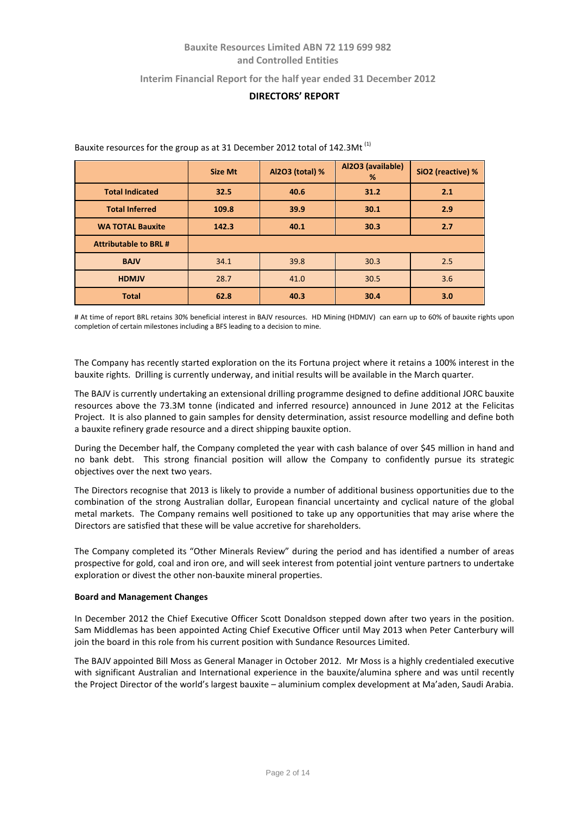### **Interim Financial Report for the half year ended 31 December 2012**

# **DIRECTORS' REPORT**

|                              | <b>Size Mt</b> | Al2O3 (total) % | Al2O3 (available)<br>% | SiO2 (reactive) % |
|------------------------------|----------------|-----------------|------------------------|-------------------|
| <b>Total Indicated</b>       | 32.5           | 40.6            | 31.2                   | 2.1               |
| <b>Total Inferred</b>        | 109.8          | 39.9            | 30.1                   | 2.9               |
| <b>WA TOTAL Bauxite</b>      | 142.3          | 40.1            | 30.3                   | 2.7               |
| <b>Attributable to BRL #</b> |                |                 |                        |                   |
| <b>BAJV</b>                  | 34.1           | 39.8            | 30.3                   | 2.5               |
| <b>HDMJV</b>                 | 28.7           | 41.0            | 30.5                   | 3.6               |
| <b>Total</b>                 | 62.8           | 40.3            | 30.4                   | 3.0               |

Bauxite resources for the group as at 31 December 2012 total of 142.3Mt<sup>(1)</sup>

# At time of report BRL retains 30% beneficial interest in BAJV resources. HD Mining (HDMJV) can earn up to 60% of bauxite rights upon completion of certain milestones including a BFS leading to a decision to mine.

The Company has recently started exploration on the its Fortuna project where it retains a 100% interest in the bauxite rights. Drilling is currently underway, and initial results will be available in the March quarter.

The BAJV is currently undertaking an extensional drilling programme designed to define additional JORC bauxite resources above the 73.3M tonne (indicated and inferred resource) announced in June 2012 at the Felicitas Project. It is also planned to gain samples for density determination, assist resource modelling and define both a bauxite refinery grade resource and a direct shipping bauxite option.

During the December half, the Company completed the year with cash balance of over \$45 million in hand and no bank debt. This strong financial position will allow the Company to confidently pursue its strategic objectives over the next two years.

The Directors recognise that 2013 is likely to provide a number of additional business opportunities due to the combination of the strong Australian dollar, European financial uncertainty and cyclical nature of the global metal markets. The Company remains well positioned to take up any opportunities that may arise where the Directors are satisfied that these will be value accretive for shareholders.

The Company completed its "Other Minerals Review" during the period and has identified a number of areas prospective for gold, coal and iron ore, and will seek interest from potential joint venture partners to undertake exploration or divest the other non-bauxite mineral properties.

#### **Board and Management Changes**

In December 2012 the Chief Executive Officer Scott Donaldson stepped down after two years in the position. Sam Middlemas has been appointed Acting Chief Executive Officer until May 2013 when Peter Canterbury will join the board in this role from his current position with Sundance Resources Limited.

The BAJV appointed Bill Moss as General Manager in October 2012. Mr Moss is a highly credentialed executive with significant Australian and International experience in the bauxite/alumina sphere and was until recently the Project Director of the world's largest bauxite – aluminium complex development at Ma'aden, Saudi Arabia.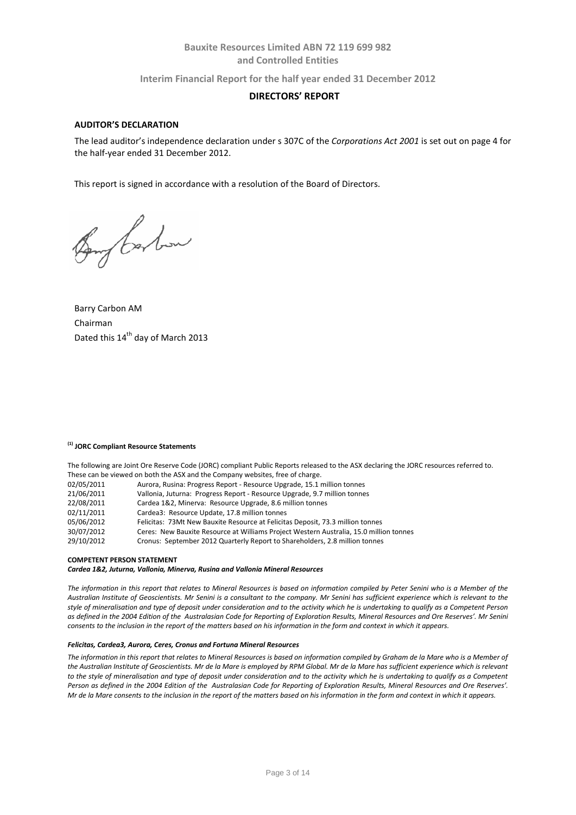**Interim Financial Report for the half year ended 31 December 2012**

### **DIRECTORS' REPORT**

#### **AUDITOR'S DECLARATION**

The lead auditor's independence declaration under s 307C of the *Corporations Act 2001* is set out on page 4 for the half-year ended 31 December 2012.

This report is signed in accordance with a resolution of the Board of Directors.

Bong Carbon

Barry Carbon AM Chairman Dated this 14<sup>th</sup> day of March 2013

#### **(1) JORC Compliant Resource Statements**

The following are Joint Ore Reserve Code (JORC) compliant Public Reports released to the ASX declaring the JORC resources referred to. These can be viewed on both the ASX and the Company websites, free of charge.

| 02/05/2011 | Aurora, Rusina: Progress Report - Resource Upgrade, 15.1 million tonnes |  |
|------------|-------------------------------------------------------------------------|--|
|------------|-------------------------------------------------------------------------|--|

- 21/06/2011 Vallonia, Juturna: Progress Report Resource Upgrade, 9.7 million tonnes
- Cardea 1&2, Minerva: Resource Upgrade, 8.6 million tonnes
- 02/11/2011 Cardea3: Resource Update, 17.8 million tonnes<br>05/06/2012 Felicitas: 73Mt New Bauxite Resource at Felicita
- Felicitas: 73Mt New Bauxite Resource at Felicitas Deposit, 73.3 million tonnes
- 30/07/2012 Ceres: New Bauxite Resource at Williams Project Western Australia, 15.0 million tonnes
	- Cronus: September 2012 Quarterly Report to Shareholders, 2.8 million tonnes

#### **COMPETENT PERSON STATEMENT**

*Cardea 1&2, Juturna, Vallonia, Minerva, Rusina and Vallonia Mineral Resources*

*The information in this report that relates to Mineral Resources is based on information compiled by Peter Senini who is a Member of the Australian Institute of Geoscientists. Mr Senini is a consultant to the company. Mr Senini has sufficient experience which is relevant to the style of mineralisation and type of deposit under consideration and to the activity which he is undertaking to qualify as a Competent Person as defined in the 2004 Edition of the Australasian Code for Reporting of Exploration Results, Mineral Resources and Ore Reserves'. Mr Senini consents to the inclusion in the report of the matters based on his information in the form and context in which it appears.*

#### *Felicitas, Cardea3, Aurora, Ceres, Cronus and Fortuna Mineral Resources*

*The information in this report that relates to Mineral Resources is based on information compiled by Graham de la Mare who is a Member of the Australian Institute of Geoscientists. Mr de la Mare is employed by RPM Global. Mr de la Mare has sufficient experience which is relevant*  to the style of mineralisation and type of deposit under consideration and to the activity which he is undertaking to qualify as a Competent *Person as defined in the 2004 Edition of the Australasian Code for Reporting of Exploration Results, Mineral Resources and Ore Reserves'. Mr de la Mare consents to the inclusion in the report of the matters based on his information in the form and context in which it appears.*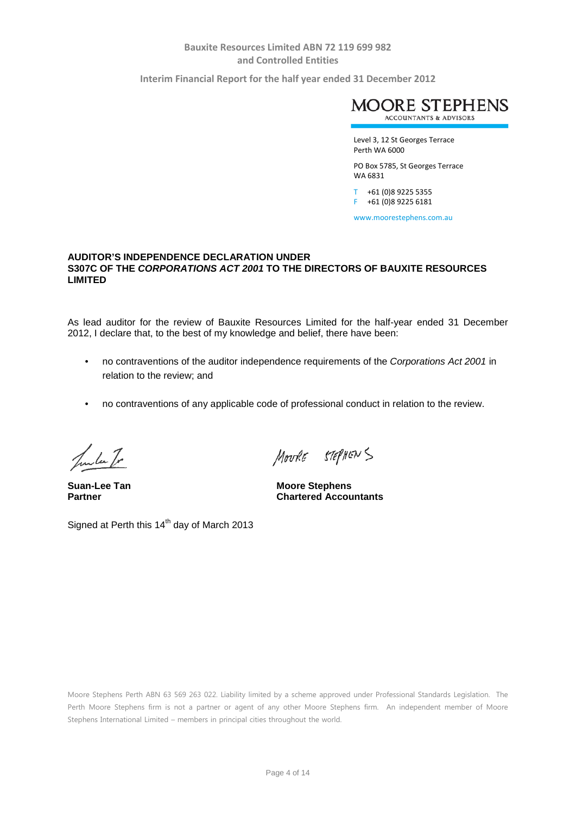**Interim Financial Report for the half year ended 31 December 2012**



Level 3, 12 St Georges Terrace Perth WA 6000

PO Box 5785, St Georges Terrace WA 6831

T +61 (0)8 9225 5355 F +61 (0)8 9225 6181

www.moorestephens.com.au

### **AUDITOR'S INDEPENDENCE DECLARATION UNDER S307C OF THE** *CORPORATIONS ACT 2001* **TO THE DIRECTORS OF BAUXITE RESOURCES LIMITED**

As lead auditor for the review of Bauxite Resources Limited for the half-year ended 31 December 2012, I declare that, to the best of my knowledge and belief, there have been:

- no contraventions of the auditor independence requirements of the *Corporations Act 2001* in relation to the review; and
- no contraventions of any applicable code of professional conduct in relation to the review.

Junta Tr

MOURE STEPHENS

**Suan-Lee Tan**<br> **Partner**<br> **Partner**<br> **Chartered Accounts Chartered Accountants** 

Signed at Perth this  $14<sup>th</sup>$  day of March 2013

Moore Stephens Perth ABN 63 569 263 022. Liability limited by a scheme approved under Professional Standards Legislation. The Perth Moore Stephens firm is not a partner or agent of any other Moore Stephens firm. An independent member of Moore Stephens International Limited – members in principal cities throughout the world.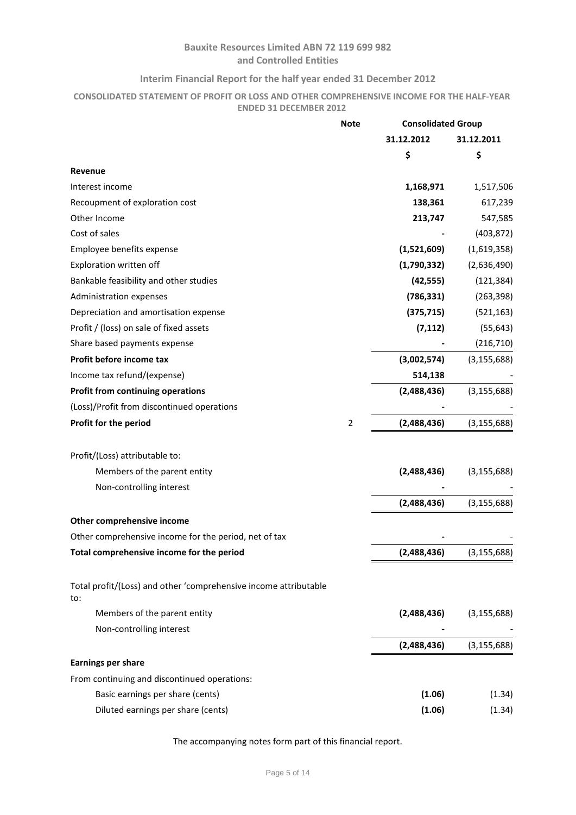### **Interim Financial Report for the half year ended 31 December 2012**

### **CONSOLIDATED STATEMENT OF PROFIT OR LOSS AND OTHER COMPREHENSIVE INCOME FOR THE HALF-YEAR ENDED 31 DECEMBER 2012**

|                                                                         | <b>Note</b>    |             | <b>Consolidated Group</b> |  |
|-------------------------------------------------------------------------|----------------|-------------|---------------------------|--|
|                                                                         |                | 31.12.2012  | 31.12.2011                |  |
|                                                                         |                | \$          | \$                        |  |
| <b>Revenue</b>                                                          |                |             |                           |  |
| Interest income                                                         |                | 1,168,971   | 1,517,506                 |  |
| Recoupment of exploration cost                                          |                | 138,361     | 617,239                   |  |
| Other Income                                                            |                | 213,747     | 547,585                   |  |
| Cost of sales                                                           |                |             | (403, 872)                |  |
| Employee benefits expense                                               |                | (1,521,609) | (1,619,358)               |  |
| Exploration written off                                                 |                | (1,790,332) | (2,636,490)               |  |
| Bankable feasibility and other studies                                  |                | (42, 555)   | (121, 384)                |  |
| Administration expenses                                                 |                | (786, 331)  | (263, 398)                |  |
| Depreciation and amortisation expense                                   |                | (375, 715)  | (521, 163)                |  |
| Profit / (loss) on sale of fixed assets                                 |                | (7, 112)    | (55, 643)                 |  |
| Share based payments expense                                            |                |             | (216, 710)                |  |
| Profit before income tax                                                |                | (3,002,574) | (3, 155, 688)             |  |
| Income tax refund/(expense)                                             |                | 514,138     |                           |  |
| <b>Profit from continuing operations</b>                                |                | (2,488,436) | (3, 155, 688)             |  |
| (Loss)/Profit from discontinued operations                              |                |             |                           |  |
| Profit for the period                                                   | $\overline{2}$ | (2,488,436) | (3, 155, 688)             |  |
| Profit/(Loss) attributable to:                                          |                |             |                           |  |
| Members of the parent entity                                            |                | (2,488,436) | (3, 155, 688)             |  |
| Non-controlling interest                                                |                |             |                           |  |
|                                                                         |                | (2,488,436) | (3, 155, 688)             |  |
| Other comprehensive income                                              |                |             |                           |  |
| Other comprehensive income for the period, net of tax                   |                |             |                           |  |
| Total comprehensive income for the period                               |                | (2,488,436) | (3, 155, 688)             |  |
| Total profit/(Loss) and other 'comprehensive income attributable<br>to: |                |             |                           |  |
| Members of the parent entity                                            |                | (2,488,436) | (3, 155, 688)             |  |
| Non-controlling interest                                                |                |             |                           |  |
|                                                                         |                | (2,488,436) | (3, 155, 688)             |  |
| <b>Earnings per share</b>                                               |                |             |                           |  |
| From continuing and discontinued operations:                            |                |             |                           |  |
| Basic earnings per share (cents)                                        |                | (1.06)      | (1.34)                    |  |
| Diluted earnings per share (cents)                                      |                | (1.06)      | (1.34)                    |  |
|                                                                         |                |             |                           |  |

The accompanying notes form part of this financial report.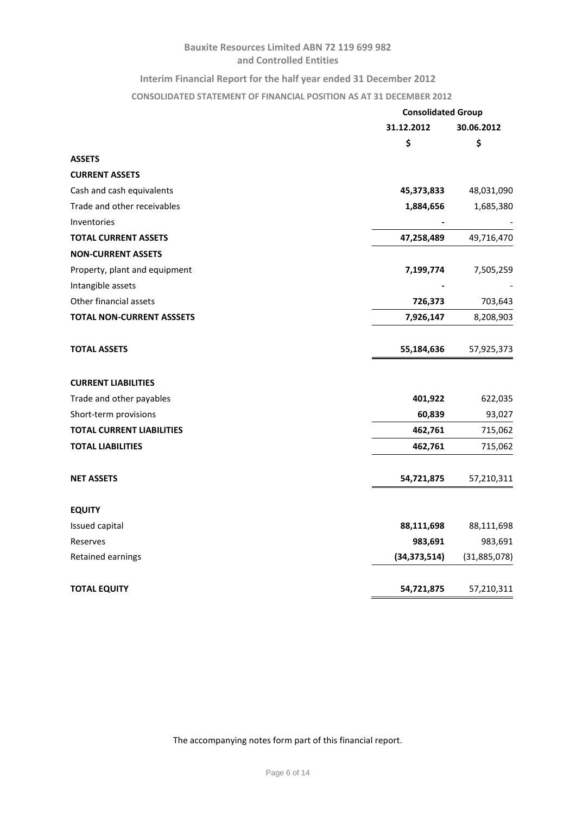# **Interim Financial Report for the half year ended 31 December 2012**

# **CONSOLIDATED STATEMENT OF FINANCIAL POSITION AS AT 31 DECEMBER 2012**

|                                  | <b>Consolidated Group</b> |              |  |
|----------------------------------|---------------------------|--------------|--|
|                                  | 31.12.2012                | 30.06.2012   |  |
|                                  | \$                        | \$           |  |
| <b>ASSETS</b>                    |                           |              |  |
| <b>CURRENT ASSETS</b>            |                           |              |  |
| Cash and cash equivalents        | 45,373,833                | 48,031,090   |  |
| Trade and other receivables      | 1,884,656                 | 1,685,380    |  |
| Inventories                      |                           |              |  |
| <b>TOTAL CURRENT ASSETS</b>      | 47,258,489                | 49,716,470   |  |
| <b>NON-CURRENT ASSETS</b>        |                           |              |  |
| Property, plant and equipment    | 7,199,774                 | 7,505,259    |  |
| Intangible assets                |                           |              |  |
| Other financial assets           | 726,373                   | 703,643      |  |
| <b>TOTAL NON-CURRENT ASSSETS</b> | 7,926,147                 | 8,208,903    |  |
| <b>TOTAL ASSETS</b>              | 55,184,636                | 57,925,373   |  |
| <b>CURRENT LIABILITIES</b>       |                           |              |  |
| Trade and other payables         | 401,922                   | 622,035      |  |
| Short-term provisions            | 60,839                    | 93,027       |  |
| <b>TOTAL CURRENT LIABILITIES</b> | 462,761                   | 715,062      |  |
| <b>TOTAL LIABILITIES</b>         | 462,761                   | 715,062      |  |
| <b>NET ASSETS</b>                | 54,721,875                | 57,210,311   |  |
| <b>EQUITY</b>                    |                           |              |  |
| Issued capital                   | 88,111,698                | 88,111,698   |  |
| Reserves                         | 983,691                   | 983,691      |  |
| Retained earnings                | (34, 373, 514)            | (31,885,078) |  |
| <b>TOTAL EQUITY</b>              | 54,721,875                | 57,210,311   |  |

The accompanying notes form part of this financial report.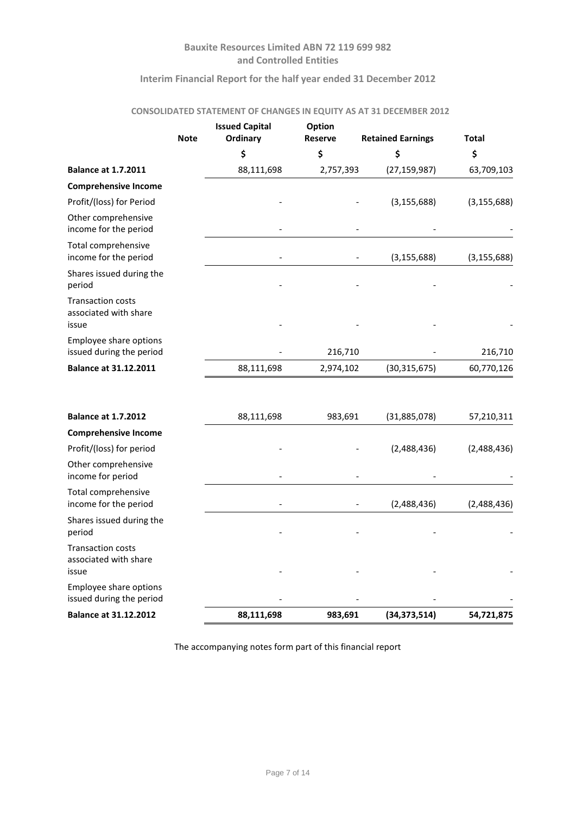### **Interim Financial Report for the half year ended 31 December 2012**

# **CONSOLIDATED STATEMENT OF CHANGES IN EQUITY AS AT 31 DECEMBER 2012**

|                                                            | <b>Note</b> | <b>Issued Capital</b><br>Ordinary | Option<br><b>Reserve</b> | <b>Retained Earnings</b> | <b>Total</b>  |
|------------------------------------------------------------|-------------|-----------------------------------|--------------------------|--------------------------|---------------|
|                                                            |             | \$                                | \$                       | \$                       | \$            |
| <b>Balance at 1.7.2011</b>                                 |             | 88,111,698                        | 2,757,393                | (27, 159, 987)           | 63,709,103    |
| <b>Comprehensive Income</b>                                |             |                                   |                          |                          |               |
| Profit/(loss) for Period                                   |             |                                   |                          | (3, 155, 688)            | (3, 155, 688) |
| Other comprehensive<br>income for the period               |             |                                   |                          |                          |               |
| Total comprehensive<br>income for the period               |             |                                   |                          | (3, 155, 688)            | (3, 155, 688) |
| Shares issued during the<br>period                         |             |                                   |                          |                          |               |
| <b>Transaction costs</b><br>associated with share<br>issue |             |                                   |                          |                          |               |
| Employee share options<br>issued during the period         |             |                                   | 216,710                  |                          | 216,710       |
| <b>Balance at 31.12.2011</b>                               |             | 88,111,698                        | 2,974,102                | (30, 315, 675)           | 60,770,126    |
| <b>Balance at 1.7.2012</b>                                 |             | 88,111,698                        | 983,691                  | (31,885,078)             | 57,210,311    |

| <b>Balance at 31.12.2012</b>                               | 88,111,698 | 983,691 | (34, 373, 514) | 54,721,875  |
|------------------------------------------------------------|------------|---------|----------------|-------------|
| Employee share options<br>issued during the period         |            |         |                |             |
| <b>Transaction costs</b><br>associated with share<br>issue |            |         |                |             |
| Shares issued during the<br>period                         |            |         |                |             |
| Total comprehensive<br>income for the period               |            |         | (2,488,436)    | (2,488,436) |
| Other comprehensive<br>income for period                   |            |         |                |             |
| Profit/(loss) for period                                   |            |         | (2,488,436)    | (2,488,436) |
| <b>Comprehensive Income</b>                                |            |         |                |             |
| <b>Balance at 1.7.2012</b>                                 | 88,111,698 | 983,691 | (31,885,078)   | 57,210,311  |

The accompanying notes form part of this financial report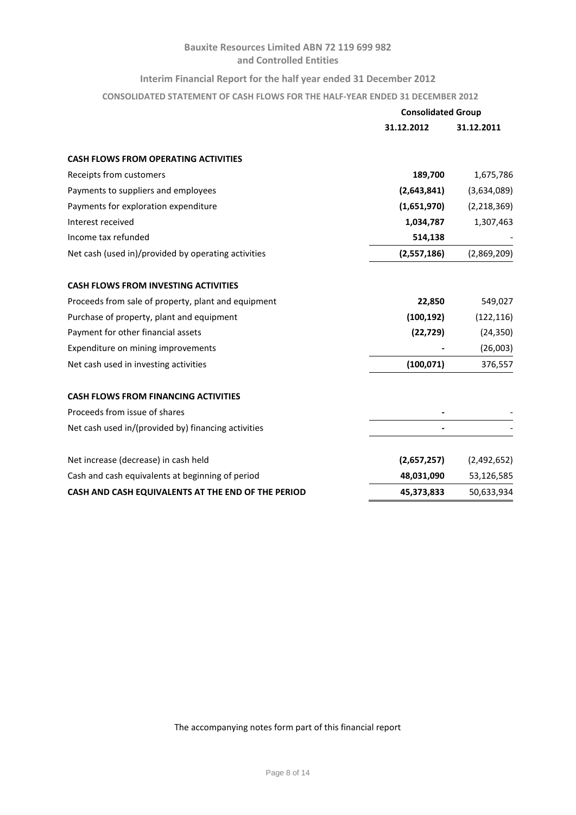### **Interim Financial Report for the half year ended 31 December 2012**

**CONSOLIDATED STATEMENT OF CASH FLOWS FOR THE HALF-YEAR ENDED 31 DECEMBER 2012**

|                                                     | <b>Consolidated Group</b> |             |
|-----------------------------------------------------|---------------------------|-------------|
|                                                     | 31.12.2012                | 31.12.2011  |
| <b>CASH FLOWS FROM OPERATING ACTIVITIES</b>         |                           |             |
| Receipts from customers                             | 189,700                   | 1,675,786   |
| Payments to suppliers and employees                 | (2,643,841)               | (3,634,089) |
| Payments for exploration expenditure                | (1,651,970)               | (2,218,369) |
| Interest received                                   | 1,034,787                 | 1,307,463   |
| Income tax refunded                                 | 514,138                   |             |
| Net cash (used in)/provided by operating activities | (2,557,186)               | (2,869,209) |
|                                                     |                           |             |
| <b>CASH FLOWS FROM INVESTING ACTIVITIES</b>         |                           |             |
| Proceeds from sale of property, plant and equipment | 22,850                    | 549,027     |
| Purchase of property, plant and equipment           | (100, 192)                | (122, 116)  |
| Payment for other financial assets                  | (22, 729)                 | (24, 350)   |
| Expenditure on mining improvements                  |                           | (26,003)    |
| Net cash used in investing activities               | (100, 071)                | 376,557     |
| <b>CASH FLOWS FROM FINANCING ACTIVITIES</b>         |                           |             |
| Proceeds from issue of shares                       |                           |             |
| Net cash used in/(provided by) financing activities |                           |             |
| Net increase (decrease) in cash held                | (2,657,257)               | (2,492,652) |
| Cash and cash equivalents at beginning of period    | 48,031,090                | 53,126,585  |
| CASH AND CASH EQUIVALENTS AT THE END OF THE PERIOD  |                           |             |
|                                                     | 45,373,833                | 50,633,934  |

The accompanying notes form part of this financial report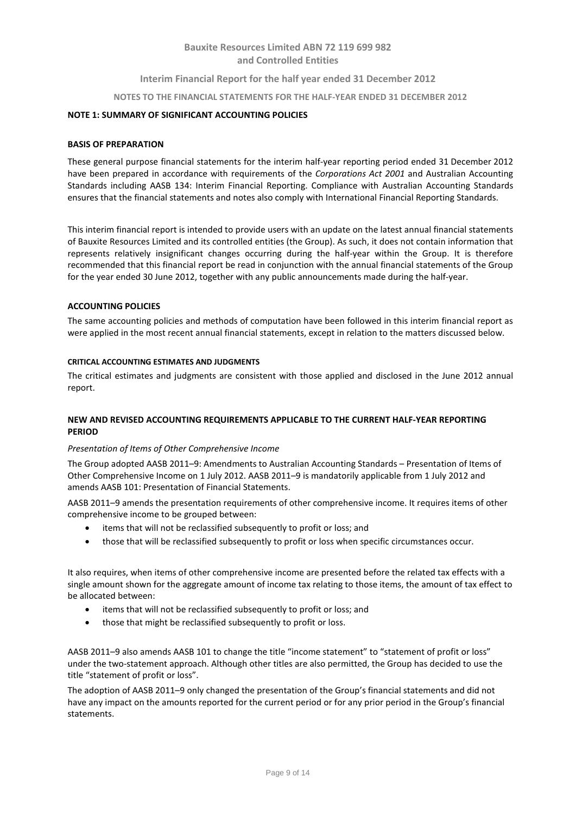### **Interim Financial Report for the half year ended 31 December 2012**

#### **NOTES TO THE FINANCIAL STATEMENTS FOR THE HALF-YEAR ENDED 31 DECEMBER 2012**

### **NOTE 1: SUMMARY OF SIGNIFICANT ACCOUNTING POLICIES**

#### **BASIS OF PREPARATION**

These general purpose financial statements for the interim half-year reporting period ended 31 December 2012 have been prepared in accordance with requirements of the *Corporations Act 2001* and Australian Accounting Standards including AASB 134: Interim Financial Reporting. Compliance with Australian Accounting Standards ensures that the financial statements and notes also comply with International Financial Reporting Standards.

This interim financial report is intended to provide users with an update on the latest annual financial statements of Bauxite Resources Limited and its controlled entities (the Group). As such, it does not contain information that represents relatively insignificant changes occurring during the half-year within the Group. It is therefore recommended that this financial report be read in conjunction with the annual financial statements of the Group for the year ended 30 June 2012, together with any public announcements made during the half-year.

### **ACCOUNTING POLICIES**

The same accounting policies and methods of computation have been followed in this interim financial report as were applied in the most recent annual financial statements, except in relation to the matters discussed below.

### **CRITICAL ACCOUNTING ESTIMATES AND JUDGMENTS**

The critical estimates and judgments are consistent with those applied and disclosed in the June 2012 annual report.

### **NEW AND REVISED ACCOUNTING REQUIREMENTS APPLICABLE TO THE CURRENT HALF-YEAR REPORTING PERIOD**

#### *Presentation of Items of Other Comprehensive Income*

The Group adopted AASB 2011–9: Amendments to Australian Accounting Standards – Presentation of Items of Other Comprehensive Income on 1 July 2012. AASB 2011–9 is mandatorily applicable from 1 July 2012 and amends AASB 101: Presentation of Financial Statements.

AASB 2011–9 amends the presentation requirements of other comprehensive income. It requires items of other comprehensive income to be grouped between:

- items that will not be reclassified subsequently to profit or loss; and
- those that will be reclassified subsequently to profit or loss when specific circumstances occur.

It also requires, when items of other comprehensive income are presented before the related tax effects with a single amount shown for the aggregate amount of income tax relating to those items, the amount of tax effect to be allocated between:

- items that will not be reclassified subsequently to profit or loss; and
- those that might be reclassified subsequently to profit or loss.

AASB 2011–9 also amends AASB 101 to change the title "income statement" to "statement of profit or loss" under the two-statement approach. Although other titles are also permitted, the Group has decided to use the title "statement of profit or loss".

The adoption of AASB 2011–9 only changed the presentation of the Group's financial statements and did not have any impact on the amounts reported for the current period or for any prior period in the Group's financial statements.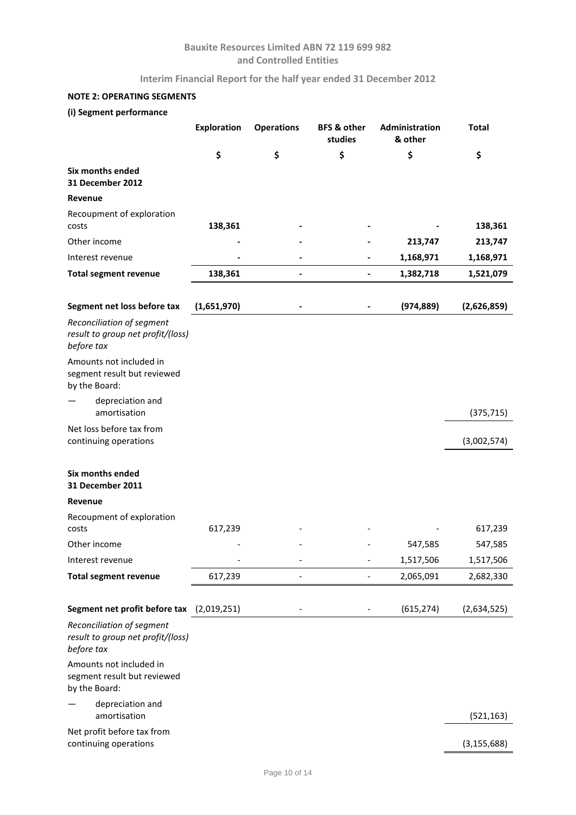**Interim Financial Report for the half year ended 31 December 2012**

# **NOTE 2: OPERATING SEGMENTS**

# **(i) Segment performance**

|                                                                              | Exploration | <b>Operations</b> | <b>BFS &amp; other</b><br>studies | Administration<br>& other | <b>Total</b>  |
|------------------------------------------------------------------------------|-------------|-------------------|-----------------------------------|---------------------------|---------------|
|                                                                              | \$          | \$                | \$                                | \$                        | \$            |
| Six months ended<br>31 December 2012                                         |             |                   |                                   |                           |               |
| Revenue                                                                      |             |                   |                                   |                           |               |
| Recoupment of exploration<br>costs                                           | 138,361     |                   |                                   |                           | 138,361       |
| Other income                                                                 |             |                   |                                   | 213,747                   | 213,747       |
| Interest revenue                                                             |             |                   |                                   | 1,168,971                 | 1,168,971     |
| <b>Total segment revenue</b>                                                 | 138,361     |                   |                                   | 1,382,718                 | 1,521,079     |
| Segment net loss before tax                                                  | (1,651,970) |                   |                                   | (974, 889)                | (2,626,859)   |
| Reconciliation of segment                                                    |             |                   |                                   |                           |               |
| result to group net profit/(loss)<br>before tax                              |             |                   |                                   |                           |               |
| Amounts not included in<br>segment result but reviewed<br>by the Board:      |             |                   |                                   |                           |               |
| depreciation and<br>amortisation                                             |             |                   |                                   |                           | (375, 715)    |
| Net loss before tax from<br>continuing operations                            |             |                   |                                   |                           | (3,002,574)   |
| Six months ended<br>31 December 2011                                         |             |                   |                                   |                           |               |
| Revenue                                                                      |             |                   |                                   |                           |               |
| Recoupment of exploration<br>costs                                           | 617,239     |                   |                                   |                           | 617,239       |
| Other income                                                                 |             |                   |                                   | 547,585                   | 547,585       |
| Interest revenue                                                             |             |                   | $\overline{a}$                    | 1,517,506                 | 1,517,506     |
| <b>Total segment revenue</b>                                                 | 617,239     | $\overline{a}$    |                                   | 2,065,091                 | 2,682,330     |
| Segment net profit before tax                                                | (2,019,251) |                   |                                   | (615, 274)                | (2,634,525)   |
| Reconciliation of segment<br>result to group net profit/(loss)<br>before tax |             |                   |                                   |                           |               |
| Amounts not included in<br>segment result but reviewed<br>by the Board:      |             |                   |                                   |                           |               |
| depreciation and<br>amortisation                                             |             |                   |                                   |                           | (521, 163)    |
| Net profit before tax from<br>continuing operations                          |             |                   |                                   |                           | (3, 155, 688) |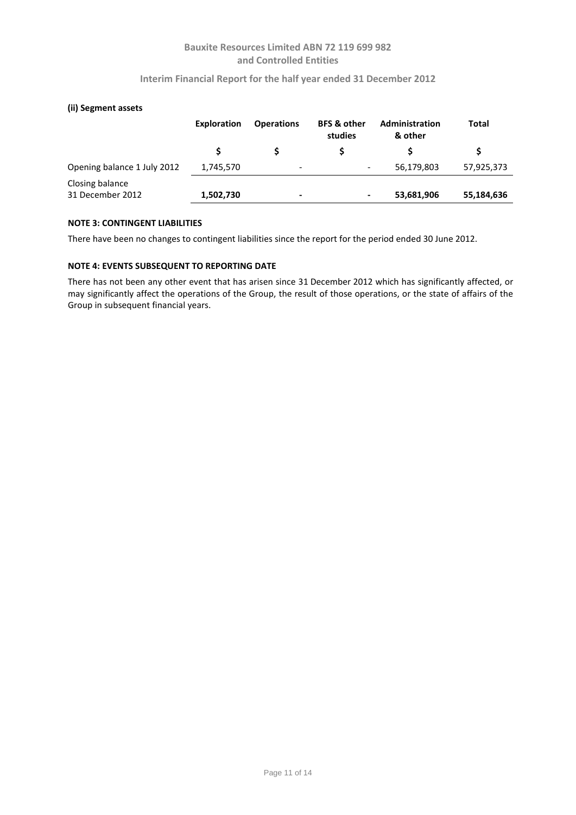### **Interim Financial Report for the half year ended 31 December 2012**

| (ii) Segment assets                 |             |                          |                                   |                                  |              |
|-------------------------------------|-------------|--------------------------|-----------------------------------|----------------------------------|--------------|
|                                     | Exploration | <b>Operations</b>        | <b>BFS &amp; other</b><br>studies | <b>Administration</b><br>& other | <b>Total</b> |
|                                     |             |                          | S                                 |                                  |              |
| Opening balance 1 July 2012         | 1,745,570   | $\overline{\phantom{a}}$ | $\overline{\phantom{a}}$          | 56,179,803                       | 57,925,373   |
| Closing balance<br>31 December 2012 | 1,502,730   | $\,$                     | $\blacksquare$                    | 53,681,906                       | 55,184,636   |

# **NOTE 3: CONTINGENT LIABILITIES**

There have been no changes to contingent liabilities since the report for the period ended 30 June 2012.

### **NOTE 4: EVENTS SUBSEQUENT TO REPORTING DATE**

There has not been any other event that has arisen since 31 December 2012 which has significantly affected, or may significantly affect the operations of the Group, the result of those operations, or the state of affairs of the Group in subsequent financial years.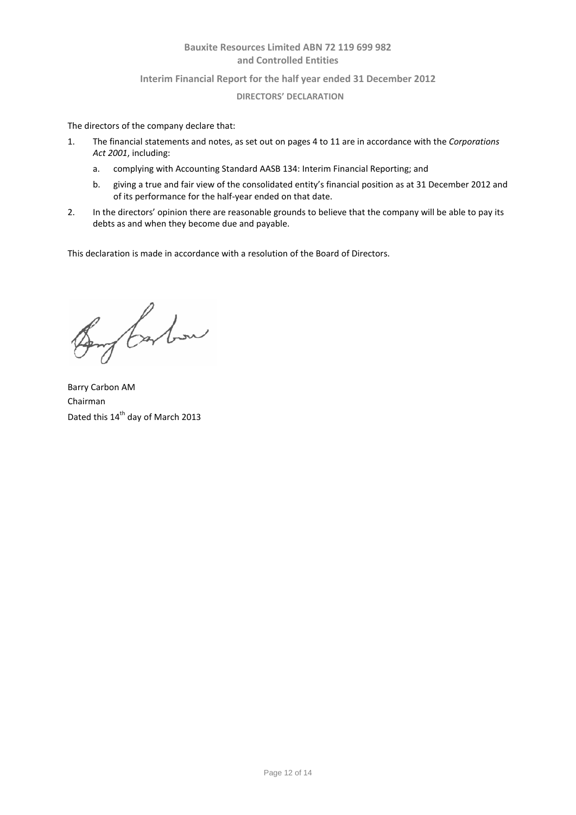### **Interim Financial Report for the half year ended 31 December 2012**

### **DIRECTORS' DECLARATION**

The directors of the company declare that:

- 1. The financial statements and notes, as set out on pages 4 to 11 are in accordance with the *Corporations Act 2001*, including:
	- a. complying with Accounting Standard AASB 134: Interim Financial Reporting; and
	- b. giving a true and fair view of the consolidated entity's financial position as at 31 December 2012 and of its performance for the half-year ended on that date.
- 2. In the directors' opinion there are reasonable grounds to believe that the company will be able to pay its debts as and when they become due and payable.

This declaration is made in accordance with a resolution of the Board of Directors.

Bong Carbon

Barry Carbon AM Chairman Dated this 14<sup>th</sup> day of March 2013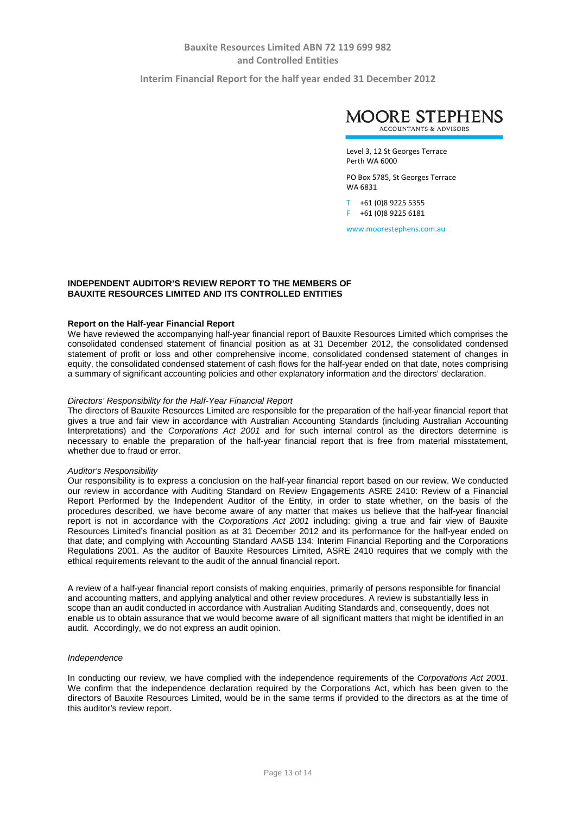**Interim Financial Report for the half year ended 31 December 2012**



Level 3, 12 St Georges Terrace Perth WA 6000

PO Box 5785, St Georges Terrace WA 6831

T +61 (0)8 9225 5355 F +61 (0)8 9225 6181

www.moorestephens.com.au

### **INDEPENDENT AUDITOR'S REVIEW REPORT TO THE MEMBERS OF BAUXITE RESOURCES LIMITED AND ITS CONTROLLED ENTITIES**

#### **Report on the Half-year Financial Report**

We have reviewed the accompanying half-year financial report of Bauxite Resources Limited which comprises the consolidated condensed statement of financial position as at 31 December 2012, the consolidated condensed statement of profit or loss and other comprehensive income, consolidated condensed statement of changes in equity, the consolidated condensed statement of cash flows for the half-year ended on that date, notes comprising a summary of significant accounting policies and other explanatory information and the directors' declaration.

#### *Directors' Responsibility for the Half-Year Financial Report*

The directors of Bauxite Resources Limited are responsible for the preparation of the half-year financial report that gives a true and fair view in accordance with Australian Accounting Standards (including Australian Accounting Interpretations) and the *Corporations Act 2001* and for such internal control as the directors determine is necessary to enable the preparation of the half-year financial report that is free from material misstatement, whether due to fraud or error.

#### *Auditor's Responsibility*

Our responsibility is to express a conclusion on the half-year financial report based on our review. We conducted our review in accordance with Auditing Standard on Review Engagements ASRE 2410: Review of a Financial Report Performed by the Independent Auditor of the Entity, in order to state whether, on the basis of the procedures described, we have become aware of any matter that makes us believe that the half-year financial report is not in accordance with the *Corporations Act 2001* including: giving a true and fair view of Bauxite Resources Limited's financial position as at 31 December 2012 and its performance for the half-year ended on that date; and complying with Accounting Standard AASB 134: Interim Financial Reporting and the Corporations Regulations 2001. As the auditor of Bauxite Resources Limited, ASRE 2410 requires that we comply with the ethical requirements relevant to the audit of the annual financial report.

A review of a half-year financial report consists of making enquiries, primarily of persons responsible for financial and accounting matters, and applying analytical and other review procedures. A review is substantially less in scope than an audit conducted in accordance with Australian Auditing Standards and, consequently, does not enable us to obtain assurance that we would become aware of all significant matters that might be identified in an audit. Accordingly, we do not express an audit opinion.

#### *Independence*

In conducting our review, we have complied with the independence requirements of the *Corporations Act 2001*. We confirm that the independence declaration required by the Corporations Act, which has been given to the directors of Bauxite Resources Limited, would be in the same terms if provided to the directors as at the time of this auditor's review report.